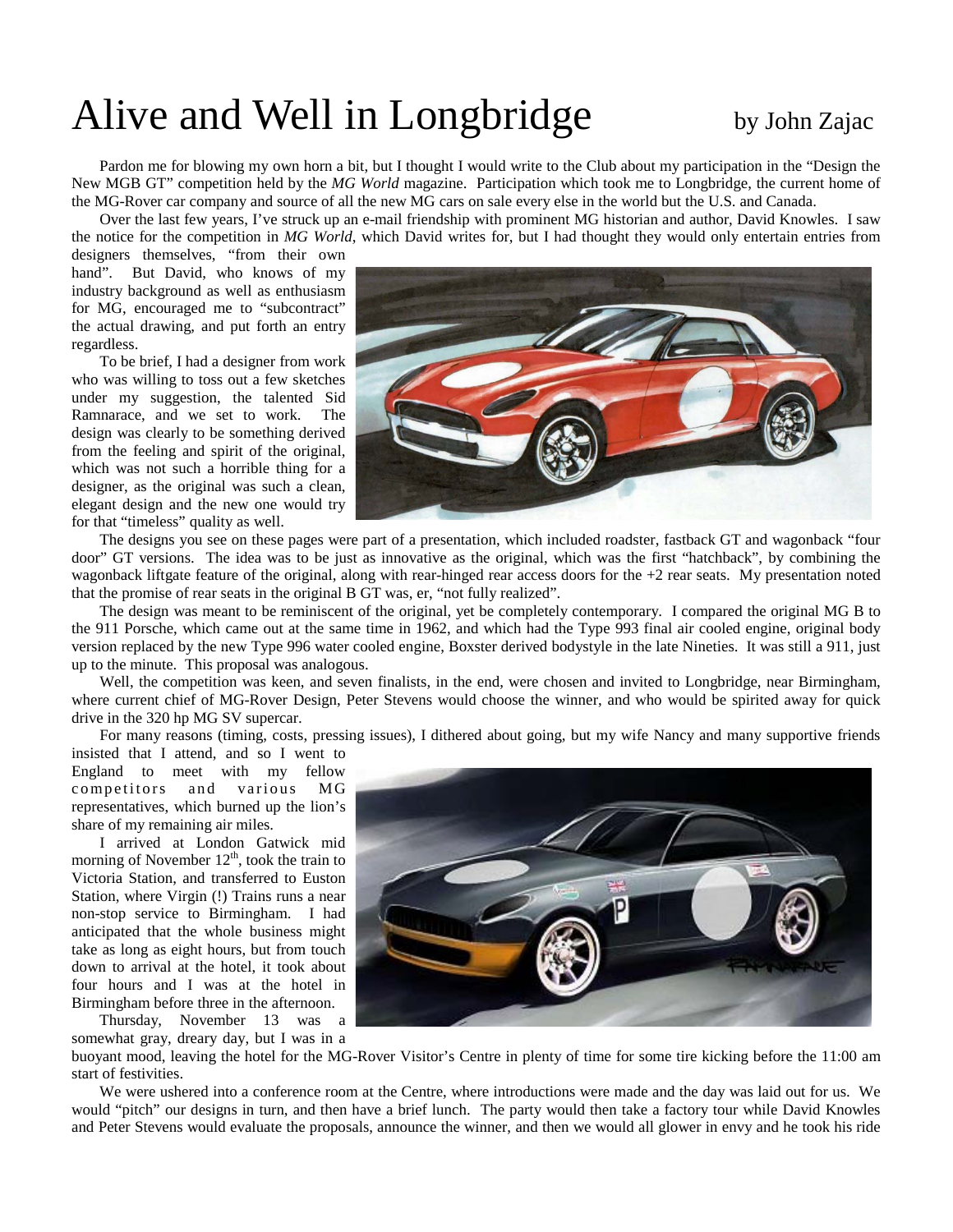## Alive and Well in Longbridge by John Zajac

Pardon me for blowing my own horn a bit, but I thought I would write to the Club about my participation in the "Design the New MGB GT" competition held by the *MG World* magazine. Participation which took me to Longbridge, the current home of the MG-Rover car company and source of all the new MG cars on sale every else in the world but the U.S. and Canada.

Over the last few years, I've struck up an e-mail friendship with prominent MG historian and author, David Knowles. I saw the notice for the competition in *MG World*, which David writes for, but I had thought they would only entertain entries from

designers themselves, "from their own hand". But David, who knows of my industry background as well as enthusiasm for MG, encouraged me to "subcontract" the actual drawing, and put forth an entry regardless.

To be brief, I had a designer from work who was willing to toss out a few sketches under my suggestion, the talented Sid Ramnarace, and we set to work. The design was clearly to be something derived from the feeling and spirit of the original, which was not such a horrible thing for a designer, as the original was such a clean, elegant design and the new one would try for that "timeless" quality as well.



The designs you see on these pages were part of a presentation, which included roadster, fastback GT and wagonback "four door" GT versions. The idea was to be just as innovative as the original, which was the first "hatchback", by combining the wagonback liftgate feature of the original, along with rear-hinged rear access doors for the +2 rear seats. My presentation noted that the promise of rear seats in the original B GT was, er, "not fully realized".

The design was meant to be reminiscent of the original, yet be completely contemporary. I compared the original MG B to the 911 Porsche, which came out at the same time in 1962, and which had the Type 993 final air cooled engine, original body version replaced by the new Type 996 water cooled engine, Boxster derived bodystyle in the late Nineties. It was still a 911, just up to the minute. This proposal was analogous.

Well, the competition was keen, and seven finalists, in the end, were chosen and invited to Longbridge, near Birmingham, where current chief of MG-Rover Design, Peter Stevens would choose the winner, and who would be spirited away for quick drive in the 320 hp MG SV supercar.

For many reasons (timing, costs, pressing issues), I dithered about going, but my wife Nancy and many supportive friends

insisted that I attend, and so I went to England to meet with my fellow competitors and various MG representatives, which burned up the lion's share of my remaining air miles.

I arrived at London Gatwick mid morning of November  $12<sup>th</sup>$ , took the train to Victoria Station, and transferred to Euston Station, where Virgin (!) Trains runs a near non-stop service to Birmingham. I had anticipated that the whole business might take as long as eight hours, but from touch down to arrival at the hotel, it took about four hours and I was at the hotel in Birmingham before three in the afternoon.

Thursday, November 13 was a somewhat gray, dreary day, but I was in a



buoyant mood, leaving the hotel for the MG-Rover Visitor's Centre in plenty of time for some tire kicking before the 11:00 am start of festivities.

We were ushered into a conference room at the Centre, where introductions were made and the day was laid out for us. We would "pitch" our designs in turn, and then have a brief lunch. The party would then take a factory tour while David Knowles and Peter Stevens would evaluate the proposals, announce the winner, and then we would all glower in envy and he took his ride